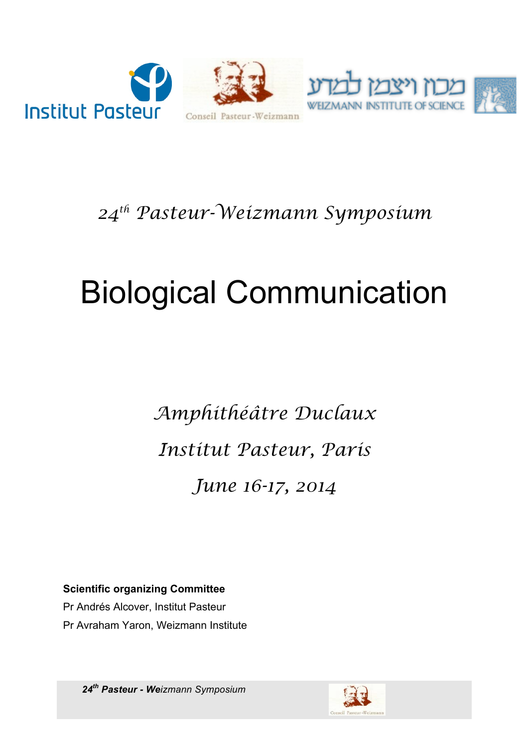

#### *24th Pasteur-Weizmann Symposium*

# Biological Communication

*Amphithéâtre Duclaux Institut Pasteur, Paris June 16-17, 2014*

**Scientific organizing Committee**

Pr Andrés Alcover, Institut Pasteur Pr Avraham Yaron, Weizmann Institute

*24th Pasteur - Weizmann Symposium*

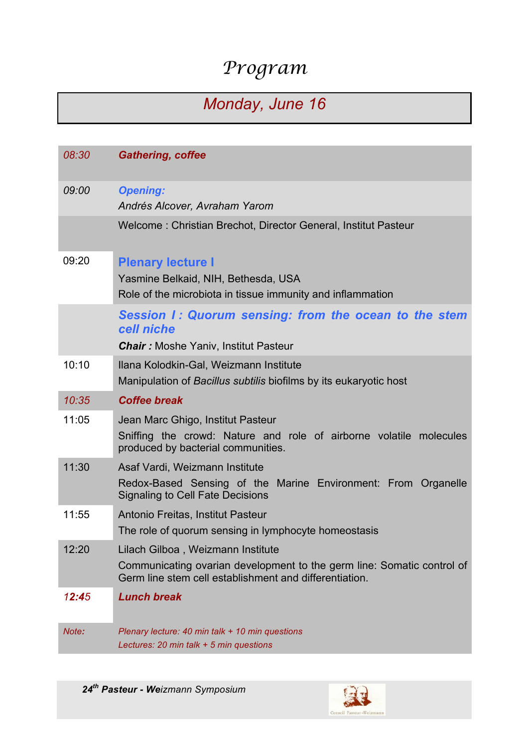## *Program*

### *Monday, June 16*

| 08:30 | <b>Gathering, coffee</b>                                                                                                                                              |
|-------|-----------------------------------------------------------------------------------------------------------------------------------------------------------------------|
| 09:00 | <b>Opening:</b><br>Andrés Alcover, Avraham Yarom                                                                                                                      |
|       | Welcome: Christian Brechot, Director General, Institut Pasteur                                                                                                        |
| 09:20 | <b>Plenary lecture I</b><br>Yasmine Belkaid, NIH, Bethesda, USA<br>Role of the microbiota in tissue immunity and inflammation                                         |
|       | Session I: Quorum sensing: from the ocean to the stem<br>cell niche<br><b>Chair:</b> Moshe Yaniv, Institut Pasteur                                                    |
| 10:10 | Ilana Kolodkin-Gal, Weizmann Institute<br>Manipulation of Bacillus subtilis biofilms by its eukaryotic host                                                           |
| 10:35 | <b>Coffee break</b>                                                                                                                                                   |
| 11:05 | Jean Marc Ghigo, Institut Pasteur<br>Sniffing the crowd: Nature and role of airborne volatile molecules<br>produced by bacterial communities.                         |
| 11:30 | Asaf Vardi, Weizmann Institute<br>Redox-Based Sensing of the Marine Environment: From Organelle<br><b>Signaling to Cell Fate Decisions</b>                            |
| 11:55 | Antonio Freitas, Institut Pasteur<br>The role of quorum sensing in lymphocyte homeostasis                                                                             |
| 12:20 | Lilach Gilboa, Weizmann Institute<br>Communicating ovarian development to the germ line: Somatic control of<br>Germ line stem cell establishment and differentiation. |
| 12:45 | <b>Lunch break</b>                                                                                                                                                    |
| Note: | Plenary lecture: 40 min talk + 10 min questions<br>Lectures: 20 min talk $+5$ min questions                                                                           |

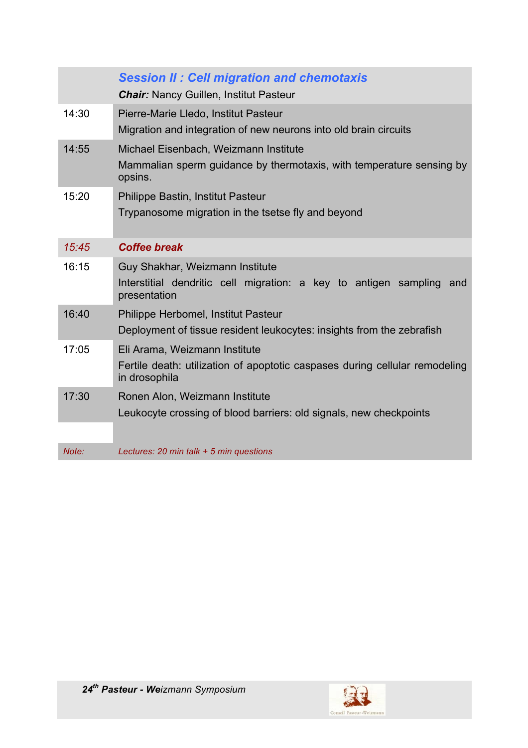|       | <b>Session II: Cell migration and chemotaxis</b><br><b>Chair:</b> Nancy Guillen, Institut Pasteur                        |
|-------|--------------------------------------------------------------------------------------------------------------------------|
| 14:30 | Pierre-Marie Lledo, Institut Pasteur<br>Migration and integration of new neurons into old brain circuits                 |
| 14:55 | Michael Eisenbach, Weizmann Institute<br>Mammalian sperm guidance by thermotaxis, with temperature sensing by<br>opsins. |
| 15:20 | Philippe Bastin, Institut Pasteur                                                                                        |
|       | Trypanosome migration in the tsetse fly and beyond                                                                       |
| 15:45 | <b>Coffee break</b>                                                                                                      |
| 16:15 | Guy Shakhar, Weizmann Institute<br>Interstitial dendritic cell migration: a key to antigen sampling and<br>presentation  |
| 16:40 | Philippe Herbomel, Institut Pasteur                                                                                      |
|       | Deployment of tissue resident leukocytes: insights from the zebrafish                                                    |
| 17:05 | Eli Arama, Weizmann Institute                                                                                            |
|       | Fertile death: utilization of apoptotic caspases during cellular remodeling<br>in drosophila                             |
| 17:30 | Ronen Alon, Weizmann Institute                                                                                           |
|       | Leukocyte crossing of blood barriers: old signals, new checkpoints                                                       |
|       |                                                                                                                          |
| Note: | Lectures: 20 min talk + 5 min questions                                                                                  |

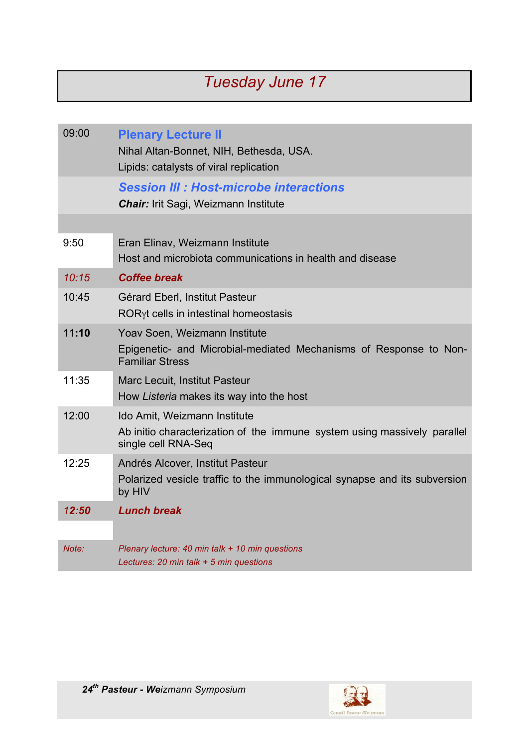### *Tuesday June 17*

| 09:00 | <b>Plenary Lecture II</b><br>Nihal Altan-Bonnet, NIH, Bethesda, USA.<br>Lipids: catalysts of viral replication                  |
|-------|---------------------------------------------------------------------------------------------------------------------------------|
|       | <b>Session III : Host-microbe interactions</b><br><b>Chair:</b> Irit Sagi, Weizmann Institute                                   |
|       |                                                                                                                                 |
| 9:50  | Eran Elinav, Weizmann Institute<br>Host and microbiota communications in health and disease                                     |
| 10:15 | <b>Coffee break</b>                                                                                                             |
| 10:45 | Gérard Eberl, Institut Pasteur<br>ROR <sub>y</sub> t cells in intestinal homeostasis                                            |
| 11:10 | Yoav Soen, Weizmann Institute<br>Epigenetic- and Microbial-mediated Mechanisms of Response to Non-<br><b>Familiar Stress</b>    |
| 11:35 | <b>Marc Lecuit, Institut Pasteur</b><br>How Listeria makes its way into the host                                                |
| 12:00 | Ido Amit, Weizmann Institute<br>Ab initio characterization of the immune system using massively parallel<br>single cell RNA-Seq |
| 12:25 | Andrés Alcover, Institut Pasteur<br>Polarized vesicle traffic to the immunological synapse and its subversion<br>by HIV         |
| 12:50 | <b>Lunch break</b>                                                                                                              |
|       |                                                                                                                                 |
| Note: | Plenary lecture: 40 min talk + 10 min questions<br>Lectures: 20 min talk + 5 min questions                                      |